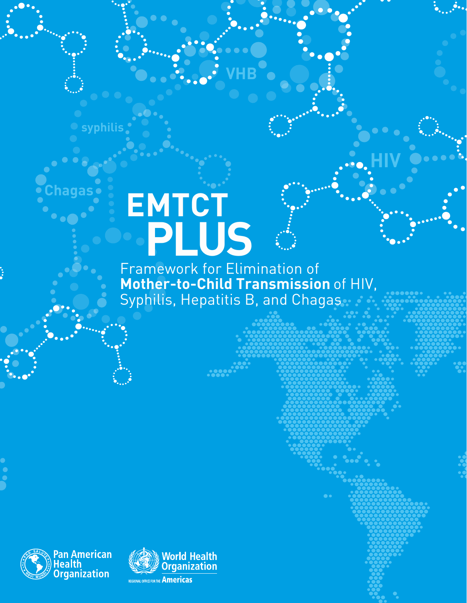# **EMTCT PLUS**

**syphilis**

**Chagas**

Framework for Elimination of **Mother-to-Child Transmission** of HIV, Syphilis, Hepatitis B, and Chagas

**VHB**

**HIV**



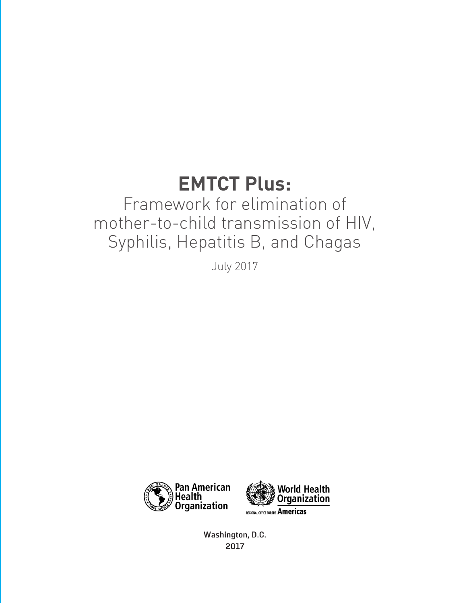### **EMTCT Plus:**

### Framework for elimination of mother-to-child transmission of HIV, Syphilis, Hepatitis B, and Chagas

July 2017



**Washington, D.C. 2017**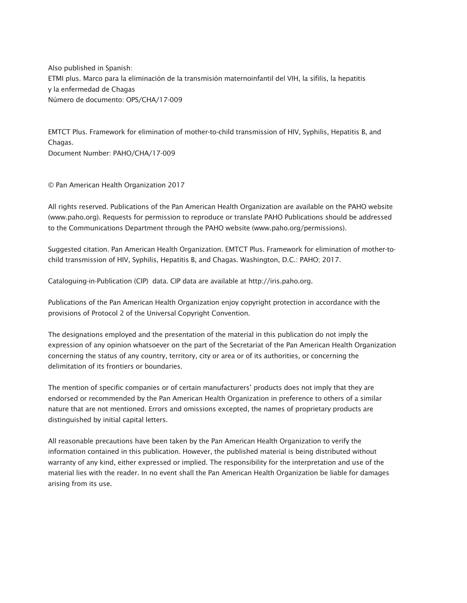Also published in Spanish: ETMI plus. Marco para la eliminación de la transmisión maternoinfantil del VIH, la sífilis, la hepatitis y la enfermedad de Chagas Número de documento: OPS/CHA/17-009

EMTCT Plus. Framework for elimination of mother-to-child transmission of HIV, Syphilis, Hepatitis B, and Chagas. Document Number: PAHO/CHA/17-009

© Pan American Health Organization 2017

All rights reserved. Publications of the Pan American Health Organization are available on the PAHO website (www.paho.org). Requests for permission to reproduce or translate PAHO Publications should be addressed to the Communications Department through the PAHO website (www.paho.org/permissions).

Suggested citation. Pan American Health Organization. EMTCT Plus. Framework for elimination of mother-tochild transmission of HIV, Syphilis, Hepatitis B, and Chagas. Washington, D.C.: PAHO; 2017.

Cataloguing-in-Publication (CIP) data. CIP data are available at http://iris.paho.org.

Publications of the Pan American Health Organization enjoy copyright protection in accordance with the provisions of Protocol 2 of the Universal Copyright Convention.

The designations employed and the presentation of the material in this publication do not imply the expression of any opinion whatsoever on the part of the Secretariat of the Pan American Health Organization concerning the status of any country, territory, city or area or of its authorities, or concerning the delimitation of its frontiers or boundaries.

The mention of specific companies or of certain manufacturers' products does not imply that they are endorsed or recommended by the Pan American Health Organization in preference to others of a similar nature that are not mentioned. Errors and omissions excepted, the names of proprietary products are distinguished by initial capital letters.

All reasonable precautions have been taken by the Pan American Health Organization to verify the information contained in this publication. However, the published material is being distributed without warranty of any kind, either expressed or implied. The responsibility for the interpretation and use of the material lies with the reader. In no event shall the Pan American Health Organization be liable for damages arising from its use.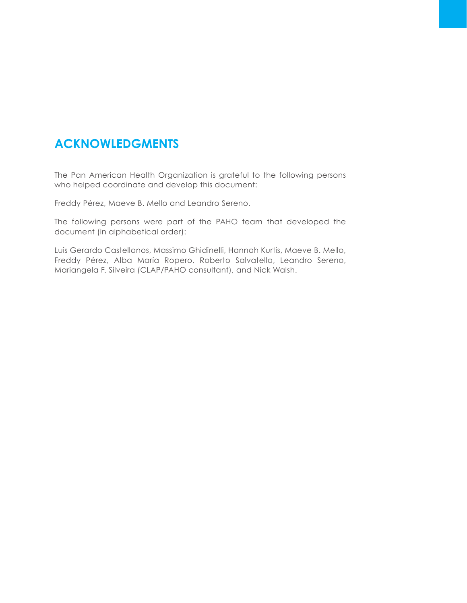### **ACKNOWLEDGMENTS**

The Pan American Health Organization is grateful to the following persons who helped coordinate and develop this document:

Freddy Pérez, Maeve B. Mello and Leandro Sereno.

The following persons were part of the PAHO team that developed the document (in alphabetical order):

Luis Gerardo Castellanos, Massimo Ghidinelli, Hannah Kurtis, Maeve B. Mello, Freddy Pérez, Alba María Ropero, Roberto Salvatella, Leandro Sereno, Mariangela F. Silveira (CLAP/PAHO consultant), and Nick Walsh.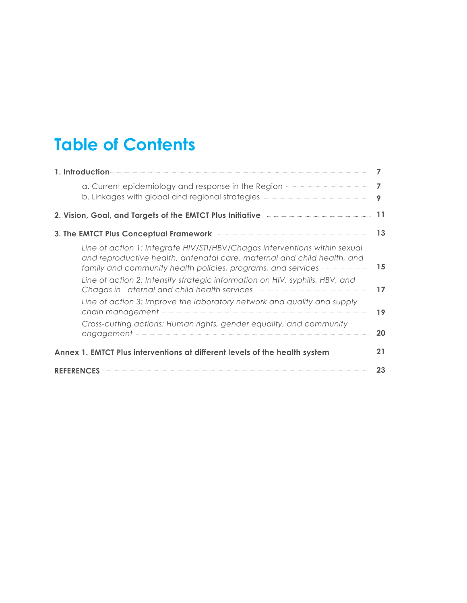### **Table of Contents**

| 1. Introduction                                                                                                                                                                                                                                                                                                      |           |  |  |
|----------------------------------------------------------------------------------------------------------------------------------------------------------------------------------------------------------------------------------------------------------------------------------------------------------------------|-----------|--|--|
| a. Current epidemiology and response in the Region <b>manufacture of the Region</b>                                                                                                                                                                                                                                  | 7         |  |  |
| 2. Vision, Goal, and Targets of the EMTCT Plus Initiative <b>Communisties</b> and the setting of the SNTCT Plus Initiative                                                                                                                                                                                           | 11        |  |  |
|                                                                                                                                                                                                                                                                                                                      | <b>13</b> |  |  |
| Line of action 1: Integrate HIV/STI/HBV/Chagas interventions within sexual<br>and reproductive health, antenatal care, maternal and child health, and<br>family and community health policies, programs, and services manufactured resonance                                                                         | 15        |  |  |
| Line of action 2: Intensify strategic information on HIV, syphilis, HBV, and<br>Chagas in aternal and child health services <b>with an area and the contract of the contract of the contract of the contract of the contract of contract of contract of contract of contract of contract of changes of changes o</b> | 17        |  |  |
| Line of action 3: Improve the laboratory network and quality and supply                                                                                                                                                                                                                                              | 19        |  |  |
| Cross-cutting actions: Human rights, gender equality, and community                                                                                                                                                                                                                                                  | 20        |  |  |
| Annex 1. EMTCT Plus interventions at different levels of the health system <b>EXECT</b> PLUS interventions at different levels of the health system<br>21                                                                                                                                                            |           |  |  |
|                                                                                                                                                                                                                                                                                                                      | 23        |  |  |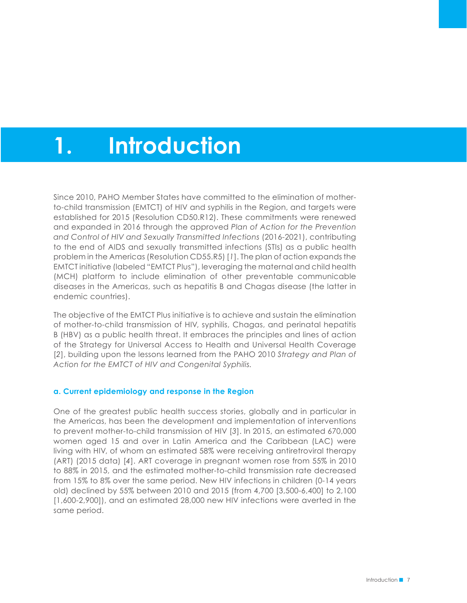# **1. Introduction**

Since 2010, PAHO Member States have committed to the elimination of motherto-child transmission (EMTCT) of HIV and syphilis in the Region, and targets were established for 2015 (Resolution CD50.R12). These commitments were renewed and expanded in 2016 through the approved *Plan of Action for the Prevention and Control of HIV and Sexually Transmitted Infections* (2016-2021), contributing to the end of AIDS and sexually transmitted infections (STIs) as a public health problem in the Americas (Resolution CD55.R5) [*1*]. The plan of action expands the EMTCT initiative (labeled "EMTCT Plus"), leveraging the maternal and child health (MCH) platform to include elimination of other preventable communicable diseases in the Americas, such as hepatitis B and Chagas disease (the latter in endemic countries).

The objective of the EMTCT Plus initiative is to achieve and sustain the elimination of mother-to-child transmission of HIV, syphilis, Chagas, and perinatal hepatitis B (HBV) as a public health threat. It embraces the principles and lines of action of the Strategy for Universal Access to Health and Universal Health Coverage [*2*], building upon the lessons learned from the PAHO 2010 *Strategy and Plan of Action for the EMTCT of HIV and Congenital Syphilis.*

#### **a. Current epidemiology and response in the Region**

One of the greatest public health success stories, globally and in particular in the Americas, has been the development and implementation of interventions to prevent mother-to-child transmission of HIV [*3*]. In 2015, an estimated 670,000 women aged 15 and over in Latin America and the Caribbean (LAC) were living with HIV, of whom an estimated 58% were receiving antiretroviral therapy (ART) (2015 data) [*4*]. ART coverage in pregnant women rose from 55% in 2010 to 88% in 2015, and the estimated mother-to-child transmission rate decreased from 15% to 8% over the same period. New HIV infections in children (0-14 years old) declined by 55% between 2010 and 2015 (from 4,700 [3,500-6,400] to 2,100 [1,600-2,900]), and an estimated 28,000 new HIV infections were averted in the same period.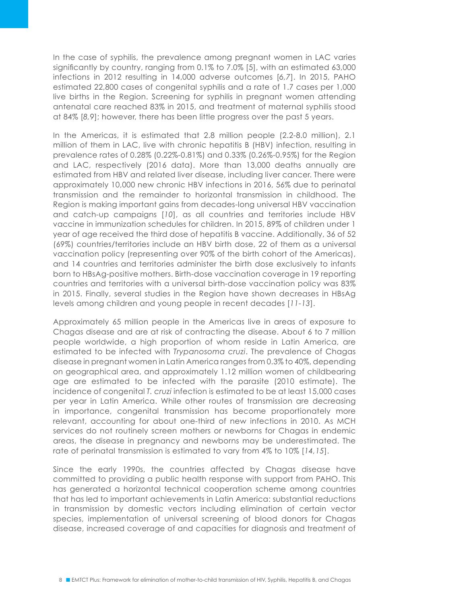In the case of syphilis, the prevalence among pregnant women in LAC varies significantly by country, ranging from 0.1% to 7.0% [5], with an estimated 63,000 infections in 2012 resulting in 14,000 adverse outcomes [*6,7*]. In 2015, PAHO estimated 22,800 cases of congenital syphilis and a rate of 1.7 cases per 1,000 live births in the Region. Screening for syphilis in pregnant women attending antenatal care reached 83% in 2015, and treatment of maternal syphilis stood at 84% [*8,9*]; however, there has been little progress over the past 5 years.

In the Americas, it is estimated that 2.8 million people (2.2-8.0 million), 2.1 million of them in LAC, live with chronic hepatitis B (HBV) infection, resulting in prevalence rates of 0.28% (0.22%-0.81%) and 0.33% (0.26%-0.95%) for the Region and LAC, respectively (2016 data). More than 13,000 deaths annually are estimated from HBV and related liver disease, including liver cancer. There were approximately 10,000 new chronic HBV infections in 2016, 56% due to perinatal transmission and the remainder to horizontal transmission in childhood. The Region is making important gains from decades-long universal HBV vaccination and catch-up campaigns [*10*], as all countries and territories include HBV vaccine in immunization schedules for children. In 2015, 89% of children under 1 year of age received the third dose of hepatitis B vaccine. Additionally, 36 of 52 (69%) countries/territories include an HBV birth dose, 22 of them as a universal vaccination policy (representing over 90% of the birth cohort of the Americas), and 14 countries and territories administer the birth dose exclusively to infants born to HBsAg-positive mothers. Birth-dose vaccination coverage in 19 reporting countries and territories with a universal birth-dose vaccination policy was 83% in 2015. Finally, several studies in the Region have shown decreases in HBsAg levels among children and young people in recent decades [*11-13*].

Approximately 65 million people in the Americas live in areas of exposure to Chagas disease and are at risk of contracting the disease. About 6 to 7 million people worldwide, a high proportion of whom reside in Latin America, are estimated to be infected with *Trypanosoma cruzi*. The prevalence of Chagas disease in pregnant women in Latin America ranges from 0.3% to 40%, depending on geographical area, and approximately 1.12 million women of childbearing age are estimated to be infected with the parasite (2010 estimate). The incidence of congenital *T. cruzi* infection is estimated to be at least 15,000 cases per year in Latin America. While other routes of transmission are decreasing in importance, congenital transmission has become proportionately more relevant, accounting for about one-third of new infections in 2010. As MCH services do not routinely screen mothers or newborns for Chagas in endemic areas, the disease in pregnancy and newborns may be underestimated. The rate of perinatal transmission is estimated to vary from 4% to 10% [*14,15*].

Since the early 1990s, the countries affected by Chagas disease have committed to providing a public health response with support from PAHO. This has generated a horizontal technical cooperation scheme among countries that has led to important achievements in Latin America: substantial reductions in transmission by domestic vectors including elimination of certain vector species, implementation of universal screening of blood donors for Chagas disease, increased coverage of and capacities for diagnosis and treatment of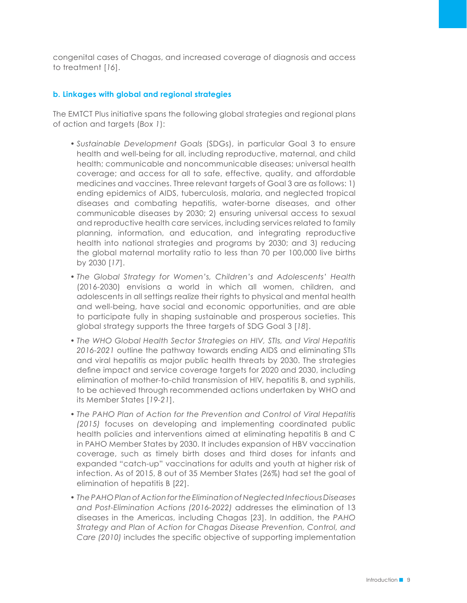congenital cases of Chagas, and increased coverage of diagnosis and access to treatment [*16*].

#### **b. Linkages with global and regional strategies**

The EMTCT Plus initiative spans the following global strategies and regional plans of action and targets (*Box 1*):

- *• Sustainable Development Goals* (SDGs), in particular Goal 3 to ensure health and well-being for all, including reproductive, maternal, and child health; communicable and noncommunicable diseases; universal health coverage; and access for all to safe, effective, quality, and affordable medicines and vaccines. Three relevant targets of Goal 3 are as follows: 1) ending epidemics of AIDS, tuberculosis, malaria, and neglected tropical diseases and combating hepatitis, water-borne diseases, and other communicable diseases by 2030; 2) ensuring universal access to sexual and reproductive health care services, including services related to family planning, information, and education, and integrating reproductive health into national strategies and programs by 2030; and 3) reducing the global maternal mortality ratio to less than 70 per 100,000 live births by 2030 [*17*].
- *• The Global Strategy for Women's, Children's and Adolescents' Health* (2016-2030) envisions a world in which all women, children, and adolescents in all settings realize their rights to physical and mental health and well-being, have social and economic opportunities, and are able to participate fully in shaping sustainable and prosperous societies. This global strategy supports the three targets of SDG Goal 3 [*18*].
- *• The WHO Global Health Sector Strategies on HIV, STIs, and Viral Hepatitis 2016-2021* outline the pathway towards ending AIDS and eliminating STIs and viral hepatitis as major public health threats by 2030. The strategies define impact and service coverage targets for 2020 and 2030, including elimination of mother-to-child transmission of HIV, hepatitis B, and syphilis, to be achieved through recommended actions undertaken by WHO and its Member States [*19-21*].
- *• The PAHO Plan of Action for the Prevention and Control of Viral Hepatitis (2015)* focuses on developing and implementing coordinated public health policies and interventions aimed at eliminating hepatitis B and C in PAHO Member States by 2030. It includes expansion of HBV vaccination coverage, such as timely birth doses and third doses for infants and expanded "catch-up" vaccinations for adults and youth at higher risk of infection. As of 2015, 8 out of 35 Member States (26%) had set the goal of elimination of hepatitis B [*22*].
- *• The PAHO Plan of Action for the Elimination of Neglected Infectious Diseases and Post-Elimination Actions (2016-2022)* addresses the elimination of 13 diseases in the Americas, including Chagas [*23*]. In addition, the *PAHO Strategy and Plan of Action for Chagas Disease Prevention, Control, and Care (2010)* includes the specific objective of supporting implementation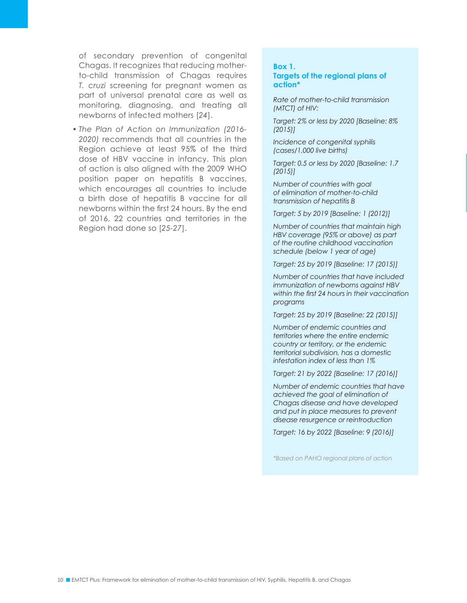of secondary prevention of congenital Chagas. It recognizes that reducing motherto-child transmission of Chagas requires *T. cruzi* screening for pregnant women as part of universal prenatal care as well as monitoring, diagnosing, and treating all newborns of infected mothers [*24*].

*• The Plan of Action on Immunization (2016- 2020)* recommends that all countries in the Region achieve at least 95% of the third dose of HBV vaccine in infancy. This plan of action is also aligned with the 2009 WHO position paper on hepatitis B vaccines, which encourages all countries to include a birth dose of hepatitis B vaccine for all newborns within the first 24 hours. By the end of 2016, 22 countries and territories in the Region had done so [*25-27*].

#### **Box 1.**

#### **Targets of the regional plans of action\***

*Rate of mother-to-child transmission (MTCT) of HIV:* 

*Target: 2% or less by 2020 [Baseline: 8% (2015)]*

*Incidence of congenital syphilis (cases/1,000 live births)*

*Target: 0.5 or less by 2020 [Baseline: 1.7 (2015)]*

*Number of countries with goal of elimination of mother-to-child transmission of hepatitis B* 

*Target: 5 by 2019 [Baseline: 1 (2012)]*

*Number of countries that maintain high HBV coverage (95% or above) as part of the routine childhood vaccination schedule (below 1 year of age)* 

*Target: 25 by 2019 [Baseline: 17 (2015)]*

*Number of countries that have included immunization of newborns against HBV within the first 24 hours in their vaccination programs* 

*Target: 25 by 2019 [Baseline: 22 (2015)]*

*Number of endemic countries and territories where the entire endemic country or territory, or the endemic territorial subdivision, has a domestic infestation index of less than 1%* 

*Target: 21 by 2022 [Baseline: 17 (2016)]*

*Number of endemic countries that have achieved the goal of elimination of Chagas disease and have developed and put in place measures to prevent disease resurgence or reintroduction*

*Target: 16 by 2022 [Baseline: 9 (2016)]*

*\*Based on PAHO regional plans of action*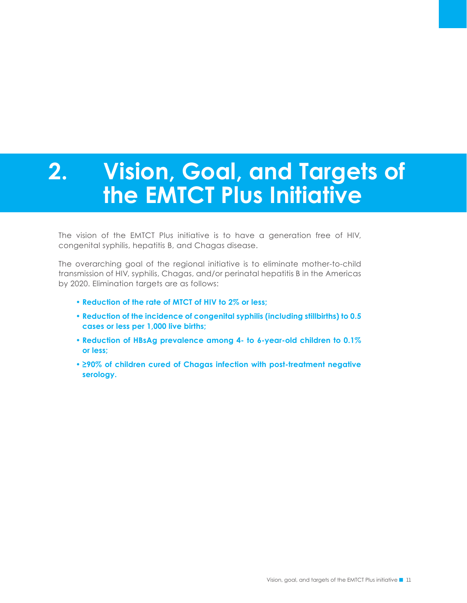# **2. Vision, Goal, and Targets of the EMTCT Plus Initiative**

The vision of the EMTCT Plus initiative is to have a generation free of HIV, congenital syphilis, hepatitis B, and Chagas disease.

The overarching goal of the regional initiative is to eliminate mother-to-child transmission of HIV, syphilis, Chagas, and/or perinatal hepatitis B in the Americas by 2020. Elimination targets are as follows:

- **• Reduction of the rate of MTCT of HIV to 2% or less;**
- **• Reduction of the incidence of congenital syphilis (including stillbirths) to 0.5 cases or less per 1,000 live births;**
- **• Reduction of HBsAg prevalence among 4- to 6-year-old children to 0.1% or less;**
- **• ≥90% of children cured of Chagas infection with post-treatment negative serology.**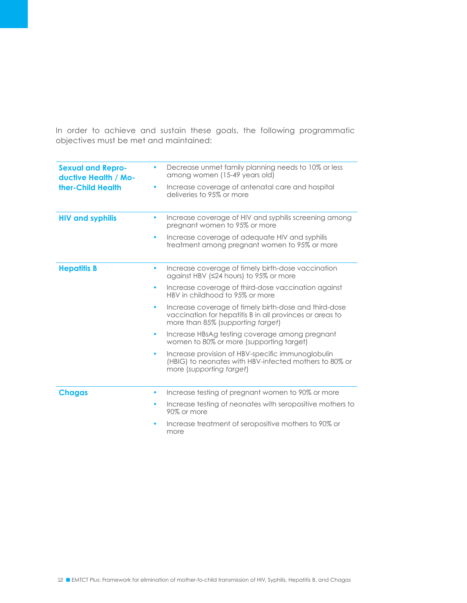In order to achieve and sustain these goals, the following programmatic objectives must be met and maintained:

| <b>Sexual and Repro-</b><br>ductive Health / Mo- | ۰         | Decrease unmet family planning needs to 10% or less<br>among women (15-49 years old)                                                                   |
|--------------------------------------------------|-----------|--------------------------------------------------------------------------------------------------------------------------------------------------------|
| ther-Child Health                                | ۰         | Increase coverage of antenatal care and hospital<br>deliveries to 95% or more                                                                          |
| <b>HIV and syphilis</b>                          |           | Increase coverage of HIV and syphilis screening among<br>pregnant women to 95% or more                                                                 |
|                                                  | ٠         | Increase coverage of adequate HIV and syphilis<br>treatment among pregnant women to 95% or more                                                        |
| <b>Hepatitis B</b>                               | $\bullet$ | Increase coverage of timely birth-dose vaccination<br>against HBV (≤24 hours) to 95% or more                                                           |
|                                                  | $\bullet$ | Increase coverage of third-dose vaccination against<br>HBV in childhood to 95% or more                                                                 |
|                                                  | ۰         | Increase coverage of timely birth-dose and third-dose<br>vaccination for hepatitis B in all provinces or areas to<br>more than 85% (supporting target) |
|                                                  | $\bullet$ | Increase HBsAg testing coverage among pregnant<br>women to 80% or more (supporting target)                                                             |
|                                                  | ۰         | Increase provision of HBV-specific immunoglobulin<br>(HBIG) to neonates with HBV-infected mothers to 80% or<br>more (supporting target)                |
| <b>Chagas</b>                                    | ٠         | Increase testing of pregnant women to 90% or more                                                                                                      |
|                                                  |           | Increase testing of neonates with seropositive mothers to<br>90% or more                                                                               |
|                                                  | ۰         | Increase treatment of seropositive mothers to 90% or<br>more                                                                                           |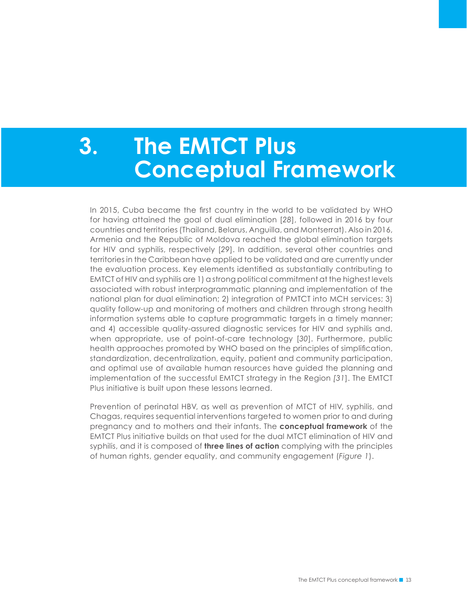# **3. The EMTCT Plus Conceptual Framework**

In 2015, Cuba became the first country in the world to be validated by WHO for having attained the goal of dual elimination [*28*], followed in 2016 by four countries and territories (Thailand, Belarus, Anguilla, and Montserrat). Also in 2016, Armenia and the Republic of Moldova reached the global elimination targets for HIV and syphilis, respectively [*29*]. In addition, several other countries and territories in the Caribbean have applied to be validated and are currently under the evaluation process. Key elements identified as substantially contributing to EMTCT of HIV and syphilis are 1) a strong political commitment at the highest levels associated with robust interprogrammatic planning and implementation of the national plan for dual elimination; 2) integration of PMTCT into MCH services; 3) quality follow-up and monitoring of mothers and children through strong health information systems able to capture programmatic targets in a timely manner; and 4) accessible quality-assured diagnostic services for HIV and syphilis and, when appropriate, use of point-of-care technology [*30*]. Furthermore, public health approaches promoted by WHO based on the principles of simplification, standardization, decentralization, equity, patient and community participation, and optimal use of available human resources have guided the planning and implementation of the successful EMTCT strategy in the Region *[31*]. The EMTCT Plus initiative is built upon these lessons learned.

Prevention of perinatal HBV, as well as prevention of MTCT of HIV, syphilis, and Chagas, requires sequential interventions targeted to women prior to and during pregnancy and to mothers and their infants. The **conceptual framework** of the EMTCT Plus initiative builds on that used for the dual MTCT elimination of HIV and syphilis, and it is composed of **three lines of action** complying with the principles of human rights, gender equality, and community engagement (*Figure 1*).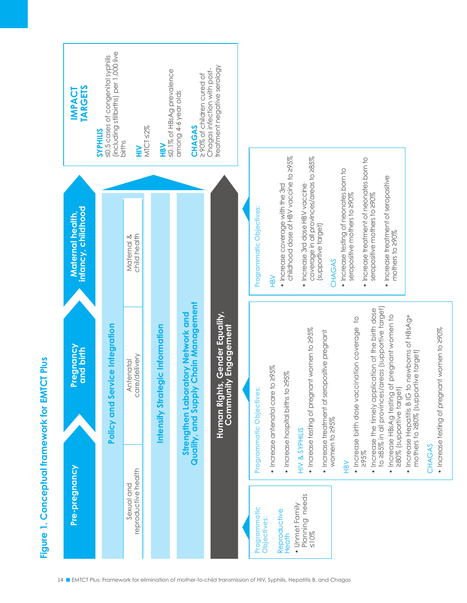



• Increase testing of pregnant women to 290% Increase testing of pregnant women to ≥90%

≤10%

14 ■ EMTCT Plus: Framework for elimination of mother-to-child transmission of HIV, Syphilis, Hepatitis B, and Chagas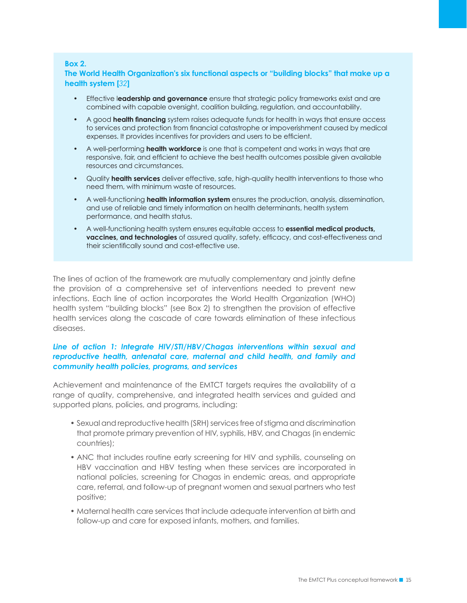#### **Box 2.**

**The World Health Organization's six functional aspects or "building blocks" that make up a health system [***32***]**

- Effective l**eadership and governance** ensure that strategic policy frameworks exist and are combined with capable oversight, coalition building, regulation, and accountability.
- A good **health financing** system raises adequate funds for health in ways that ensure access to services and protection from financial catastrophe or impoverishment caused by medical expenses. It provides incentives for providers and users to be efficient.
- A well-performing **health workforce** is one that is competent and works in ways that are responsive, fair, and efficient to achieve the best health outcomes possible given available resources and circumstances.
- Quality **health services** deliver effective, safe, high-quality health interventions to those who need them, with minimum waste of resources.
- A well-functioning **health information system** ensures the production, analysis, dissemination, and use of reliable and timely information on health determinants, health system performance, and health status.
- A well-functioning health system ensures equitable access to **essential medical products, vaccines, and technologies** of assured quality, safety, efficacy, and cost-effectiveness and their scientifically sound and cost-effective use.

The lines of action of the framework are mutually complementary and jointly define the provision of a comprehensive set of interventions needed to prevent new infections. Each line of action incorporates the World Health Organization (WHO) health system "building blocks" (see Box 2) to strengthen the provision of effective health services along the cascade of care towards elimination of these infectious diseases.

#### Line of action 1: Integrate HIV/STI/HBV/Chagas interventions within sexual and *reproductive health, antenatal care, maternal and child health, and family and community health policies, programs, and services*

Achievement and maintenance of the EMTCT targets requires the availability of a range of quality, comprehensive, and integrated health services and guided and supported plans, policies, and programs, including:

- Sexual and reproductive health (SRH) services free of stigma and discrimination that promote primary prevention of HIV, syphilis, HBV, and Chagas (in endemic countries);
- ANC that includes routine early screening for HIV and syphilis, counseling on HBV vaccination and HBV testing when these services are incorporated in national policies, screening for Chagas in endemic areas, and appropriate care, referral, and follow-up of pregnant women and sexual partners who test positive;
- Maternal health care services that include adequate intervention at birth and follow-up and care for exposed infants, mothers, and families.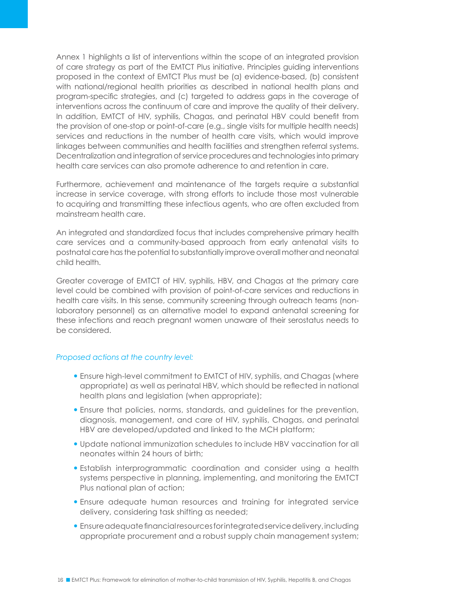Annex 1 highlights a list of interventions within the scope of an integrated provision of care strategy as part of the EMTCT Plus initiative. Principles guiding interventions proposed in the context of EMTCT Plus must be (a) evidence-based, (b) consistent with national/regional health priorities as described in national health plans and program-specific strategies, and (c) targeted to address gaps in the coverage of interventions across the continuum of care and improve the quality of their delivery. In addition, EMTCT of HIV, syphilis, Chagas, and perinatal HBV could benefit from the provision of one-stop or point-of-care (e.g., single visits for multiple health needs) services and reductions in the number of health care visits, which would improve linkages between communities and health facilities and strengthen referral systems. Decentralization and integration of service procedures and technologies into primary health care services can also promote adherence to and retention in care.

Furthermore, achievement and maintenance of the targets require a substantial increase in service coverage, with strong efforts to include those most vulnerable to acquiring and transmitting these infectious agents, who are often excluded from mainstream health care.

An integrated and standardized focus that includes comprehensive primary health care services and a community-based approach from early antenatal visits to postnatal care has the potential to substantially improve overall mother and neonatal child health.

Greater coverage of EMTCT of HIV, syphilis, HBV, and Chagas at the primary care level could be combined with provision of point-of-care services and reductions in health care visits. In this sense, community screening through outreach teams (nonlaboratory personnel) as an alternative model to expand antenatal screening for these infections and reach pregnant women unaware of their serostatus needs to be considered.

#### *Proposed actions at the country level:*

- Ensure high-level commitment to EMTCT of HIV, syphilis, and Chagas (where appropriate) as well as perinatal HBV, which should be reflected in national health plans and legislation (when appropriate);
- Ensure that policies, norms, standards, and guidelines for the prevention, diagnosis, management, and care of HIV, syphilis, Chagas, and perinatal HBV are developed/updated and linked to the MCH platform;
- Update national immunization schedules to include HBV vaccination for all neonates within 24 hours of birth;
- Establish interprogrammatic coordination and consider using a health systems perspective in planning, implementing, and monitoring the EMTCT Plus national plan of action;
- Ensure adequate human resources and training for integrated service delivery, considering task shifting as needed;
- Ensure adequate financial resources for integrated service delivery, including appropriate procurement and a robust supply chain management system;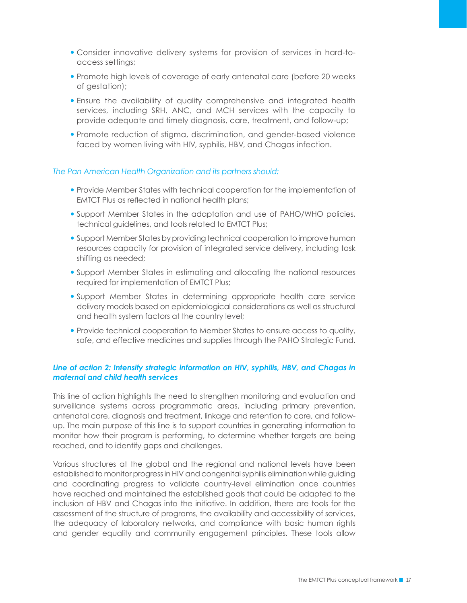- Consider innovative delivery systems for provision of services in hard-toaccess settings;
- Promote high levels of coverage of early antenatal care (before 20 weeks of gestation);
- Ensure the availability of quality comprehensive and integrated health services, including SRH, ANC, and MCH services with the capacity to provide adequate and timely diagnosis, care, treatment, and follow-up;
- Promote reduction of stigma, discrimination, and gender-based violence faced by women living with HIV, syphilis, HBV, and Chagas infection.

#### *The Pan American Health Organization and its partners should:*

- Provide Member States with technical cooperation for the implementation of EMTCT Plus as reflected in national health plans;
- Support Member States in the adaptation and use of PAHO/WHO policies, technical guidelines, and tools related to EMTCT Plus;
- Support Member States by providing technical cooperation to improve human resources capacity for provision of integrated service delivery, including task shifting as needed;
- Support Member States in estimating and allocating the national resources required for implementation of EMTCT Plus;
- Support Member States in determining appropriate health care service delivery models based on epidemiological considerations as well as structural and health system factors at the country level;
- Provide technical cooperation to Member States to ensure access to quality, safe, and effective medicines and supplies through the PAHO Strategic Fund.

#### *Line of action 2: Intensify strategic information on HIV, syphilis, HBV, and Chagas in maternal and child health services*

This line of action highlights the need to strengthen monitoring and evaluation and surveillance systems across programmatic areas, including primary prevention, antenatal care, diagnosis and treatment, linkage and retention to care, and followup. The main purpose of this line is to support countries in generating information to monitor how their program is performing, to determine whether targets are being reached, and to identify gaps and challenges.

Various structures at the global and the regional and national levels have been established to monitor progress in HIV and congenital syphilis elimination while guiding and coordinating progress to validate country-level elimination once countries have reached and maintained the established goals that could be adapted to the inclusion of HBV and Chagas into the initiative. In addition, there are tools for the assessment of the structure of programs, the availability and accessibility of services, the adequacy of laboratory networks, and compliance with basic human rights and gender equality and community engagement principles. These tools allow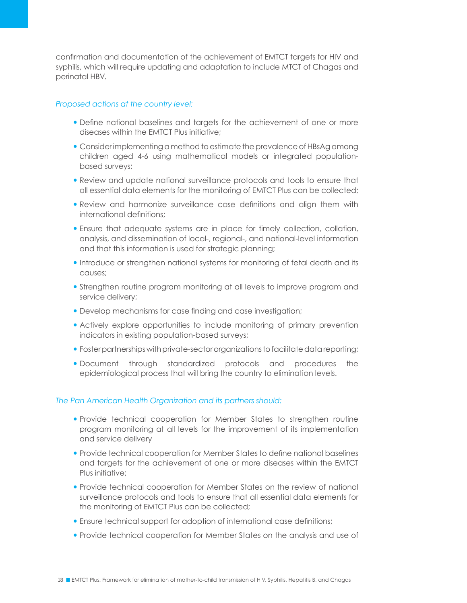confirmation and documentation of the achievement of EMTCT targets for HIV and syphilis, which will require updating and adaptation to include MTCT of Chagas and perinatal HBV.

#### *Proposed actions at the country level:*

- Define national baselines and targets for the achievement of one or more diseases within the EMTCT Plus initiative;
- Consider implementing a method to estimate the prevalence of HBsAg among children aged 4-6 using mathematical models or integrated populationbased surveys;
- Review and update national surveillance protocols and tools to ensure that all essential data elements for the monitoring of EMTCT Plus can be collected;
- Review and harmonize surveillance case definitions and align them with international definitions;
- Ensure that adequate systems are in place for timely collection, collation, analysis, and dissemination of local-, regional-, and national-level information and that this information is used for strategic planning;
- **.** Introduce or strengthen national systems for monitoring of fetal death and its causes;
- Strengthen routine program monitoring at all levels to improve program and service delivery;
- Develop mechanisms for case finding and case investigation;
- Actively explore opportunities to include monitoring of primary prevention indicators in existing population-based surveys;
- Foster partnerships with private-sector organizations to facilitate data reporting;
- Document through standardized protocols and procedures the epidemiological process that will bring the country to elimination levels.

#### *The Pan American Health Organization and its partners should:*

- Provide technical cooperation for Member States to strengthen routine program monitoring at all levels for the improvement of its implementation and service delivery
- Provide technical cooperation for Member States to define national baselines and targets for the achievement of one or more diseases within the EMTCT Plus initiative;
- Provide technical cooperation for Member States on the review of national surveillance protocols and tools to ensure that all essential data elements for the monitoring of EMTCT Plus can be collected;
- Ensure technical support for adoption of international case definitions;
- Provide technical cooperation for Member States on the analysis and use of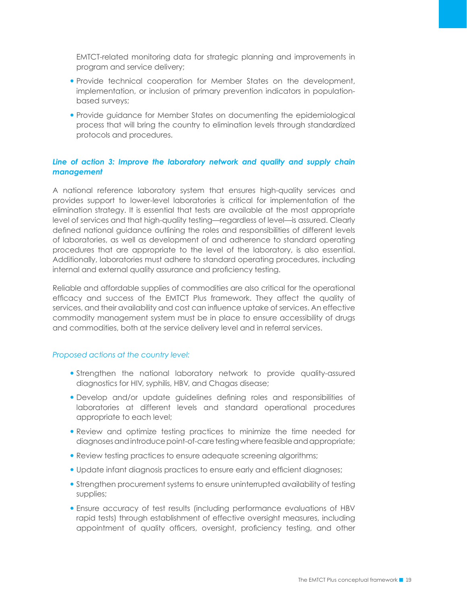EMTCT-related monitoring data for strategic planning and improvements in program and service delivery;

- Provide technical cooperation for Member States on the development, implementation, or inclusion of primary prevention indicators in populationbased surveys;
- Provide guidance for Member States on documenting the epidemiological process that will bring the country to elimination levels through standardized protocols and procedures.

#### *Line of action 3: Improve the laboratory network and quality and supply chain management*

A national reference laboratory system that ensures high-quality services and provides support to lower-level laboratories is critical for implementation of the elimination strategy. It is essential that tests are available at the most appropriate level of services and that high-quality testing—regardless of level—is assured. Clearly defined national guidance outlining the roles and responsibilities of different levels of laboratories, as well as development of and adherence to standard operating procedures that are appropriate to the level of the laboratory, is also essential. Additionally, laboratories must adhere to standard operating procedures, including internal and external quality assurance and proficiency testing.

Reliable and affordable supplies of commodities are also critical for the operational efficacy and success of the EMTCT Plus framework. They affect the quality of services, and their availability and cost can influence uptake of services. An effective commodity management system must be in place to ensure accessibility of drugs and commodities, both at the service delivery level and in referral services.

#### *Proposed actions at the country level:*

- Strengthen the national laboratory network to provide quality-assured diagnostics for HIV, syphilis, HBV, and Chagas disease;
- Develop and/or update guidelines defining roles and responsibilities of laboratories at different levels and standard operational procedures appropriate to each level;
- Review and optimize testing practices to minimize the time needed for diagnoses and introduce point-of-care testing where feasible and appropriate;
- Review testing practices to ensure adequate screening algorithms;
- Update infant diagnosis practices to ensure early and efficient diagnoses;
- Strengthen procurement systems to ensure uninterrupted availability of testing supplies;
- Ensure accuracy of test results (including performance evaluations of HBV rapid tests) through establishment of effective oversight measures, including appointment of quality officers, oversight, proficiency testing, and other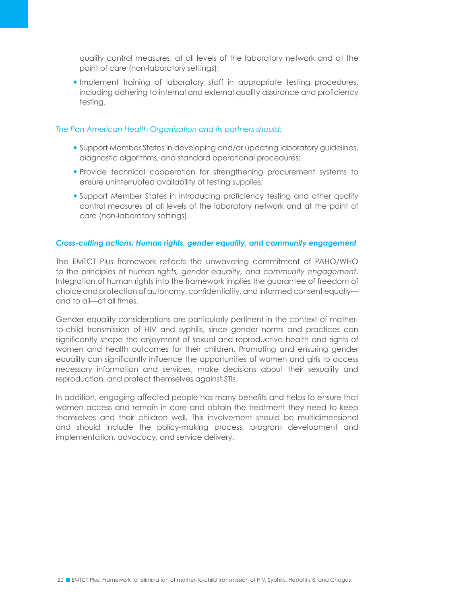quality control measures, at all levels of the laboratory network and at the point of care (non-laboratory settings);

 Implement training of laboratory staff in appropriate testing procedures, including adhering to internal and external quality assurance and proficiency testing.

#### *The Pan American Health Organization and its partners should:*

- Support Member States in developing and/or updating laboratory guidelines, diagnostic algorithms, and standard operational procedures;
- Provide technical cooperation for strengthening procurement systems to ensure uninterrupted availability of testing supplies;
- Support Member States in introducing proficiency testing and other quality control measures at all levels of the laboratory network and at the point of care (non-laboratory settings).

#### *Cross-cutting actions: Human rights, gender equality, and community engagement*

The EMTCT Plus framework reflects the unwavering commitment of PAHO/WHO to the principles of *human rights, gender equality, and community engagement*. Integration of human rights into the framework implies the guarantee of freedom of choice and protection of autonomy, confidentiality, and informed consent equally and to all—at all times.

Gender equality considerations are particularly pertinent in the context of motherto-child transmission of HIV and syphilis, since gender norms and practices can significantly shape the enjoyment of sexual and reproductive health and rights of women and health outcomes for their children. Promoting and ensuring gender equality can significantly influence the opportunities of women and girls to access necessary information and services, make decisions about their sexuality and reproduction, and protect themselves against STIs.

In addition, engaging affected people has many benefits and helps to ensure that women access and remain in care and obtain the treatment they need to keep themselves and their children well. This involvement should be multidimensional and should include the policy-making process, program development and implementation, advocacy, and service delivery.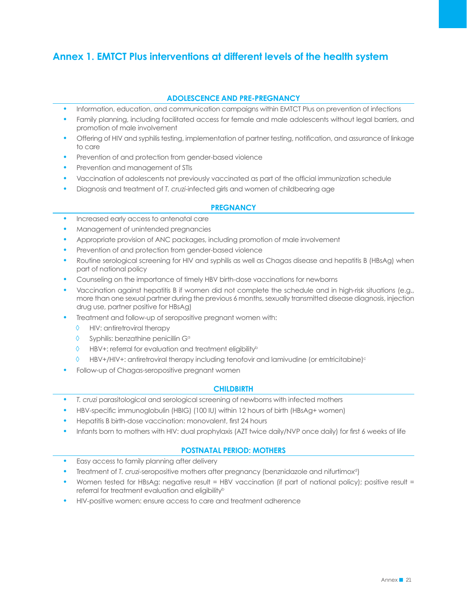### **Annex 1. EMTCT Plus interventions at different levels of the health system**

#### **ADOLESCENCE AND PRE-PREGNANCY**

- Information, education, and communication campaigns within EMTCT Plus on prevention of infections
- Family planning, including facilitated access for female and male adolescents without legal barriers, and promotion of male involvement
- Offering of HIV and syphilis testing, implementation of partner testing, notification, and assurance of linkage to care
- Prevention of and protection from gender-based violence
- Prevention and management of STIs
- Vaccination of adolescents not previously vaccinated as part of the official immunization schedule
- Diagnosis and treatment of *T. cruzi*-infected girls and women of childbearing age

#### **PREGNANCY**

- Increased early access to antenatal care
- Management of unintended pregnancies
- Appropriate provision of ANC packages, including promotion of male involvement
- Prevention of and protection from gender-based violence
- Routine serological screening for HIV and syphilis as well as Chagas disease and hepatitis B (HBsAg) when part of national policy
- Counseling on the importance of timely HBV birth-dose vaccinations for newborns
- Vaccination against hepatitis B if women did not complete the schedule and in high-risk situations (e.g., more than one sexual partner during the previous 6 months, sexually transmitted disease diagnosis, injection drug use, partner positive for HBsAg)
- Treatment and follow-up of seropositive pregnant women with:
	- ◊ HIV: antiretroviral therapy
	- ◊ Syphilis: benzathine penicillin Ga
	- ◊ HBV+: referral for evaluation and treatment eligibilityb
	- ◊ HBV+/HIV+: antiretroviral therapy including tenofovir and lamivudine (or emtricitabine)c
- Follow-up of Chagas-seropositive pregnant women

#### **CHILDBIRTH**

- *• T. cruzi* parasitological and serological screening of newborns with infected mothers
- HBV-specific immunoglobulin (HBIG) (100 IU) within 12 hours of birth (HBsAg+ women)
- Hepatitis B birth-dose vaccination: monovalent, first 24 hours
- Infants born to mothers with HIV: dual prophylaxis (AZT twice daily/NVP once daily) for first 6 weeks of life

#### **POSTNATAL PERIOD: MOTHERS**

- Easy access to family planning after delivery
- Treatment of *T. cruzi*-seropositive mothers after pregnancy (benznidazole and nifurtimoxd)
- Women tested for HBsAg: negative result = HBV vaccination (if part of national policy); positive result = referral for treatment evaluation and eligibility<sup>b</sup>
- HIV-positive women: ensure access to care and treatment adherence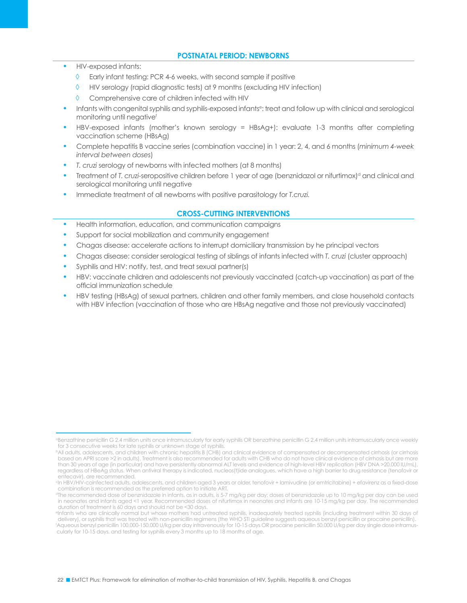#### **POSTNATAL PERIOD: NEWBORNS**

- HIV-exposed infants:
	- ◊ Early infant testing: PCR 4-6 weeks, with second sample if positive
	- HIV serology (rapid diagnostic tests) at 9 months (excluding HIV infection)
	- ◊ Comprehensive care of children infected with HIV
- Infants with congenital syphilis and syphilis-exposed infantse: treat and follow up with clinical and serological monitoring until negativef
- HBV-exposed infants (mother's known serology = HBsAg+): evaluate 1-3 months after completing vaccination scheme (HBsAg)
- Complete hepatitis B vaccine series (combination vaccine) in 1 year: 2, 4, and 6 months (*minimum 4-week interval between doses*)
- *• T. cruzi* serology of newborns with infected mothers (at 8 months)
- Treatment of *T. cruzi-seropositive children before* 1 year of age (benznidazol or nifurtimox)<sup>d</sup> and clinical and serological monitoring until negative
- Immediate treatment of all newborns with positive parasitology for *T.cruzi.*

#### **CROSS-CUTTING INTERVENTIONS**

- Health information, education, and communication campaigns
- Support for social mobilization and community engagement
- Chagas disease: accelerate actions to interrupt domiciliary transmission by he principal vectors
- Chagas disease: consider serological testing of siblings of infants infected with *T. cruzi* (cluster approach)
- Syphilis and HIV: notify, test, and treat sexual partner(s)
- HBV: vaccinate children and adolescents not previously vaccinated (catch-up vaccination) as part of the official immunization schedule
- HBV testing (HBsAg) of sexual partners, children and other family members, and close household contacts with HBV infection (vaccination of those who are HBsAg negative and those not previously vaccinated)

**Benzathine penicillin G 2.4 million units once intramuscularly for early syphilis OR benzathine penicillin G 2.4 million units intramuscularly once weekly** for 3 consecutive weeks for late syphilis or unknown stage of syphilis.

bAll adults, adolescents, and children with chronic hepatitis B (CHB) and clinical evidence of compensated or decompensated cirrhosis (or cirrhosis based on APRI score >2 in adults). Treatment is also recommended for adults with CHB who do not have clinical evidence of cirrhosis but are more than 30 years of age (in particular) and have persistently abnormal ALT levels and evidence of high-level HBV replication (HBV DNA >20,000 IU/mL), regardless of HBeAg status. When antiviral therapy is indicated, nucleos(t)ide analogues, which have a high barrier to drug resistance (tenofovir or entecavir), are recommended.

<sup>c</sup>In HBV/HIV-coinfected adults, adolescents, and children aged 3 years or older, tenofovir + lamivudine (or emtricitabine) + efavirenz as a fixed-dose combination is recommended as the preferred option to initiate ART.

The recommended dose of benznidazole in infants, as in adults, is 5-7 mg/kg per day; doses of benznidazole up to 10 mg/kg per day can be used in neonates and infants aged <1 year. Recommended doses of nifurtimox in neonates and infants are 10-15 mg/kg per day. The recommended duration of treatment is 60 days and should not be <30 days.

eInfants who are clinically normal but whose mothers had untreated syphilis, inadequately treated syphilis (including treatment within 30 days of delivery), or syphilis that was treated with non-penicillin regimens (the WHO STI guideline suggests aqueous benzyl penicillin or procaine penicillin). f Aqueous benzyl penicillin 100,000-150,000 U/kg per day intravenously for 10-15 days OR procaine penicillin 50,000 U/kg per day single dose intramuscularly for 10-15 days, and testing for syphilis every 3 months up to 18 months of age.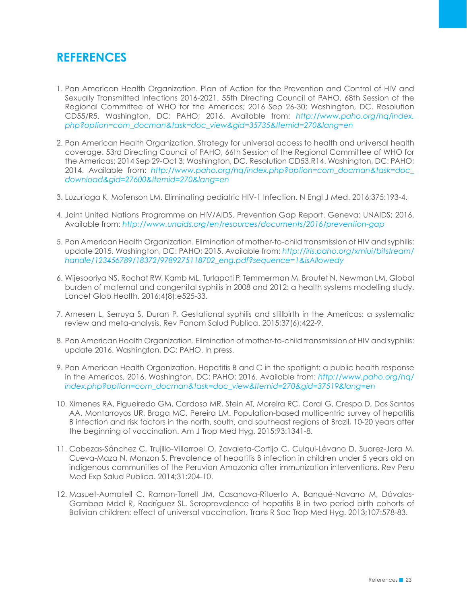### **REFERENCES**

- 1. Pan American Health Organization. Plan of Action for the Prevention and Control of HIV and Sexually Transmitted Infections 2016-2021. 55th Directing Council of PAHO, 68th Session of the Regional Committee of WHO for the Americas; 2016 Sep 26-30; Washington, DC. Resolution CD55/R5. Washington, DC: PAHO; 2016. Available from: *http://www.paho.org/hq/index. php?option=com\_docman&task=doc\_view&gid=35735&Itemid=270&lang=en*
- 2. Pan American Health Organization. Strategy for universal access to health and universal health coverage. 53rd Directing Council of PAHO, 66th Session of the Regional Committee of WHO for the Americas; 2014 Sep 29-Oct 3; Washington, DC. Resolution CD53.R14. Washington, DC: PAHO; 2014. Available from: *http://www.paho.org/hq/index.php?option=com\_docman&task=doc\_ download&gid=27600&Itemid=270&lang=en*
- 3. Luzuriaga K, Mofenson LM. Eliminating pediatric HIV-1 Infection. N Engl J Med. 2016;375:193-4.
- 4. Joint United Nations Programme on HIV/AIDS. Prevention Gap Report. Geneva: UNAIDS; 2016. Available from: *http://www.unaids.org/en/resources/documents/2016/prevention-gap*
- 5. Pan American Health Organization. Elimination of mother-to-child transmission of HIV and syphilis: update 2015. Washington, DC: PAHO; 2015. Available from: *http://iris.paho.org/xmlui/bitstream/ handle/123456789/18372/9789275118702\_eng.pdf?sequence=1&isAllowedy*
- 6. Wijesooriya NS, Rochat RW, Kamb ML, Turlapati P, Temmerman M, Broutet N, Newman LM. Global burden of maternal and congenital syphilis in 2008 and 2012: a health systems modelling study. Lancet Glob Health. 2016;4(8):e525-33.
- 7. Arnesen L, Serruya S, Duran P. Gestational syphilis and stillbirth in the Americas: a systematic review and meta-analysis. Rev Panam Salud Publica. 2015;37(6):422-9.
- 8. Pan American Health Organization. Elimination of mother-to-child transmission of HIV and syphilis: update 2016. Washington, DC: PAHO. In press.
- 9. Pan American Health Organization. Hepatitis B and C in the spotlight: a public health response in the Americas, 2016. Washington, DC: PAHO; 2016. Available from: *http://www.paho.org/hq/ index.php?option=com\_docman&task=doc\_view&Itemid=270&gid=37519&lang=en*
- 10. Ximenes RA, Figueiredo GM, Cardoso MR, Stein AT, Moreira RC, Coral G, Crespo D, Dos Santos AA, Montarroyos UR, Braga MC, Pereira LM. Population-based multicentric survey of hepatitis B infection and risk factors in the north, south, and southeast regions of Brazil, 10-20 years after the beginning of vaccination. Am J Trop Med Hyg. 2015;93:1341-8.
- 11. Cabezas-Sánchez C, Trujillo-Villarroel O, Zavaleta-Cortijo C, Culqui-Lévano D, Suarez-Jara M, Cueva-Maza N, Monzon S. Prevalence of hepatitis B infection in children under 5 years old on indigenous communities of the Peruvian Amazonia after immunization interventions. Rev Peru Med Exp Salud Publica. 2014;31:204-10.
- 12. Masuet-Aumatell C, Ramon-Torrell JM, Casanova-Rituerto A, Banqué-Navarro M, Dávalos-Gamboa Mdel R, Rodríguez SL. Seroprevalence of hepatitis B in two period birth cohorts of Bolivian children: effect of universal vaccination. Trans R Soc Trop Med Hyg. 2013;107:578-83.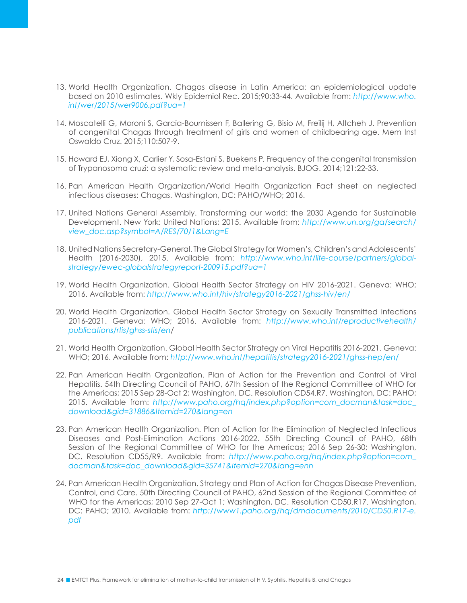- 13. World Health Organization. Chagas disease in Latin America: an epidemiological update based on 2010 estimates. Wkly Epidemiol Rec. 2015;90:33-44. Available from: *http://www.who. int/wer/2015/wer9006.pdf?ua=1*
- 14. Moscatelli G, Moroni S, García-Bournissen F, Ballering G, Bisio M, Freilij H, Altcheh J. Prevention of congenital Chagas through treatment of girls and women of childbearing age. Mem Inst Oswaldo Cruz. 2015;110:507-9.
- 15. Howard EJ, Xiong X, Carlier Y, Sosa-Estani S, Buekens P. Frequency of the congenital transmission of Trypanosoma cruzi: a systematic review and meta-analysis. BJOG. 2014;121:22-33.
- 16. Pan American Health Organization/World Health Organization Fact sheet on neglected infectious diseases: Chagas. Washington, DC: PAHO/WHO; 2016.
- 17. United Nations General Assembly. Transforming our world: the 2030 Agenda for Sustainable Development. New York: United Nations; 2015. Available from: *http://www.un.org/ga/search/ view\_doc.asp?symbol=A/RES/70/1&Lang=E*
- 18. United Nations Secretary-General. The Global Strategy for Women's, Children's and Adolescents' Health (2016-2030), 2015. Available from: *http://www.who.int/life-course/partners/globalstrategy/ewec-globalstrategyreport-200915.pdf?ua=1*
- 19. World Health Organization. Global Health Sector Strategy on HIV 2016-2021. Geneva: WHO; 2016. Available from: *http://www.who.int/hiv/strategy2016-2021/ghss-hiv/en/*
- 20. World Health Organization. Global Health Sector Strategy on Sexually Transmitted Infections 2016-2021. Geneva: WHO; 2016. Available from: *http://www.who.int/reproductivehealth/ publications/rtis/ghss-stis/en*/
- 21. World Health Organization. Global Health Sector Strategy on Viral Hepatitis 2016-2021. Geneva: WHO; 2016. Available from: *http://www.who.int/hepatitis/strategy2016-2021/ghss-hep/en/*
- 22. Pan American Health Organization. Plan of Action for the Prevention and Control of Viral Hepatitis. 54th Directing Council of PAHO, 67th Session of the Regional Committee of WHO for the Americas; 2015 Sep 28-Oct 2; Washington, DC. Resolution CD54.R7. Washington, DC: PAHO; 2015. Available from: *http://www.paho.org/hq/index.php?option=com\_docman&task=doc\_ download&gid=31886&Itemid=270&lang=en*
- 23. Pan American Health Organization. Plan of Action for the Elimination of Neglected Infectious Diseases and Post-Elimination Actions 2016-2022. 55th Directing Council of PAHO, 68th Session of the Regional Committee of WHO for the Americas; 2016 Sep 26-30; Washington, DC. Resolution CD55/R9. Available from: *http://www.paho.org/hq/index.php?option=com\_ docman&task=doc\_download&gid=35741&Itemid=270&lang=enn*
- 24. Pan American Health Organization. Strategy and Plan of Action for Chagas Disease Prevention, Control, and Care. 50th Directing Council of PAHO, 62nd Session of the Regional Committee of WHO for the Americas; 2010 Sep 27-Oct 1; Washington, DC. Resolution CD50.R17. Washington, DC: PAHO; 2010. Available from: *http://www1.paho.org/hq/dmdocuments/2010/CD50.R17-e. pdf*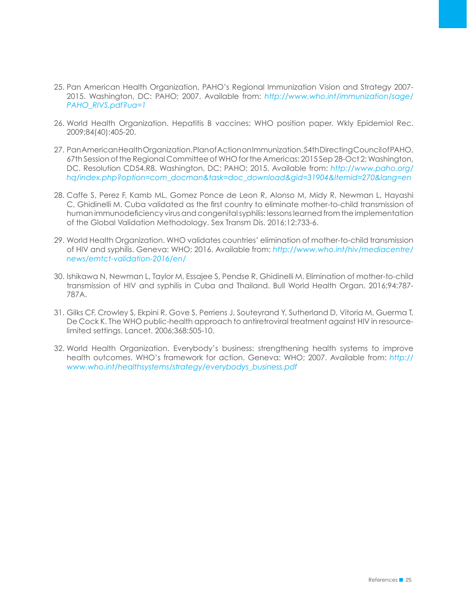- 25. Pan American Health Organization, PAHO's Regional Immunization Vision and Strategy 2007- 2015. Washington, DC: PAHO; 2007. Available from: *http://www.who.int/immunization/sage/ PAHO\_RIVS.pdf?ua=1*
- 26. World Health Organization. Hepatitis B vaccines: WHO position paper. Wkly Epidemiol Rec. 2009;84(40):405-20.
- 27. Pan American Health Organization. Plan of Action on Immunization. 54th Directing Council of PAHO, 67th Session of the Regional Committee of WHO for the Americas; 2015 Sep 28-Oct 2; Washington, DC. Resolution CD54.R8. Washington, DC: PAHO; 2015. Available from: *http://www.paho.org/ hq/index.php?option=com\_docman&task=doc\_download&gid=31904&Itemid=270&lang=en*
- 28. Caffe S, Perez F, Kamb ML, Gomez Ponce de Leon R, Alonso M, Midy R, Newman L, Hayashi C, Ghidinelli M. Cuba validated as the first country to eliminate mother-to-child transmission of human immunodeficiency virus and congenital syphilis: lessons learned from the implementation of the Global Validation Methodology. Sex Transm Dis. 2016;12:733-6.
- 29. World Health Organization. WHO validates countries' elimination of mother-to-child transmission of HIV and syphilis. Geneva: WHO; 2016. Available from: *http://www.who.int/hiv/mediacentre/ news/emtct-validation-2016/en/*
- 30. Ishikawa N, Newman L, Taylor M, Essajee S, Pendse R, Ghidinelli M. Elimination of mother-to-child transmission of HIV and syphilis in Cuba and Thailand. Bull World Health Organ. 2016;94:787- 787A.
- 31. Gilks CF, Crowley S, Ekpini R, Gove S, Perriens J, Souteyrand Y, Sutherland D, Vitoria M, Guerma T, De Cock K. The WHO public-health approach to antiretroviral treatment against HIV in resourcelimited settings. Lancet. 2006;368:505-10.
- 32. World Health Organization. Everybody's business: strengthening health systems to improve health outcomes. WHO's framework for action. Geneva: WHO; 2007. Available from: *http:// www.who.int/healthsystems/strategy/everybodys\_business.pdf*